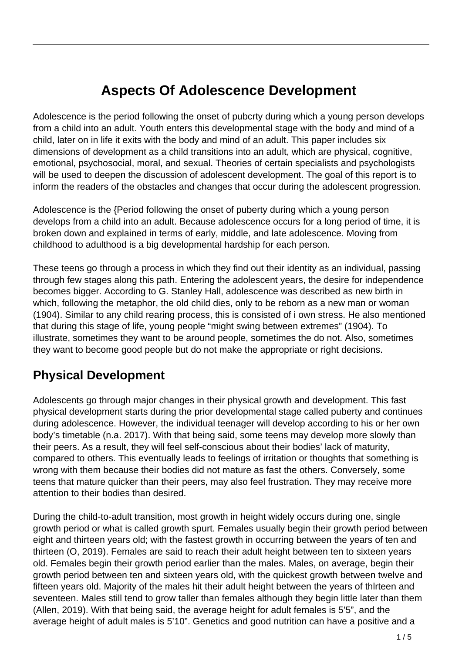# **Aspects Of Adolescence Development**

Adolescence is the period following the onset of pubcrty during which a young person develops from a child into an adult. Youth enters this developmental stage with the body and mind of a child, later on in life it exits with the body and mind of an adult. This paper includes six dimensions of development as a child transitions into an adult, which are physical, cognitive, emotional, psychosocial, moral, and sexual. Theories of certain specialists and psychologists will be used to deepen the discussion of adolescent development. The goal of this report is to inform the readers of the obstacles and changes that occur during the adolescent progression.

Adolescence is the {Period following the onset of puberty during which a young person develops from a child into an adult. Because adolescence occurs for a long period of time, it is broken down and explained in terms of early, middle, and late adolescence. Moving from childhood to adulthood is a big developmental hardship for each person.

These teens go through a process in which they find out their identity as an individual, passing through few stages along this path. Entering the adolescent years, the desire for independence becomes bigger. According to G. Stanley Hall, adolescence was described as new birth in which, following the metaphor, the old child dies, only to be reborn as a new man or woman (1904). Similar to any child rearing process, this is consisted of i own stress. He also mentioned that during this stage of life, young people "might swing between extremes" (1904). To illustrate, sometimes they want to be around people, sometimes the do not. Also, sometimes they want to become good people but do not make the appropriate or right decisions.

### **Physical Development**

Adolescents go through major changes in their physical growth and development. This fast physical development starts during the prior developmental stage called puberty and continues during adolescence. However, the individual teenager will develop according to his or her own body's timetable (n.a. 2017). With that being said, some teens may develop more slowly than their peers. As a result, they will feel self-conscious about their bodies' lack of maturity, compared to others. This eventually leads to feelings of irritation or thoughts that something is wrong with them because their bodies did not mature as fast the others. Conversely, some teens that mature quicker than their peers, may also feel frustration. They may receive more attention to their bodies than desired.

During the child-to-adult transition, most growth in height widely occurs during one, single growth period or what is called growth spurt. Females usually begin their growth period between eight and thirteen years old; with the fastest growth in occurring between the years of ten and thirteen (O, 2019). Females are said to reach their adult height between ten to sixteen years old. Females begin their growth period earlier than the males. Males, on average, begin their growth period between ten and sixteen years old, with the quickest growth between twelve and fifteen years old. Majority of the males hit their adult height between the years of thlrteen and seventeen. Males still tend to grow taller than females although they begin little later than them (Allen, 2019). With that being said, the average height for adult females is 5'5", and the average height of adult males is 5'10". Genetics and good nutrition can have a positive and a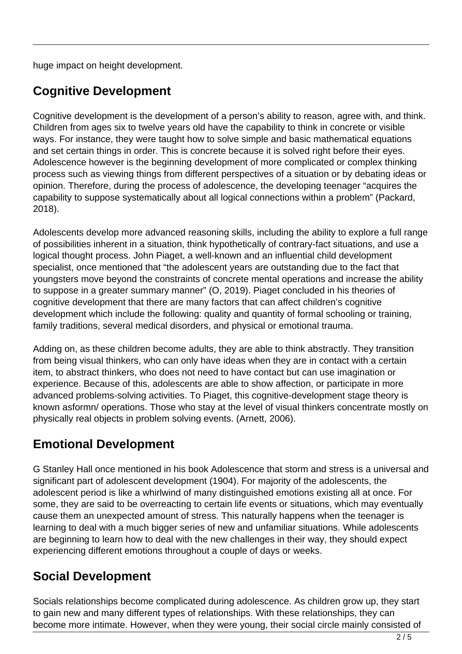huge impact on height development.

# **Cognitive Development**

Cognitive development is the development of a person's ability to reason, agree with, and think. Children from ages six to twelve years old have the capability to think in concrete or visible ways. For instance, they were taught how to solve simple and basic mathematical equations and set certain things in order. This is concrete because it is solved right before their eyes. Adolescence however is the beginning development of more complicated or complex thinking process such as viewing things from different perspectives of a situation or by debating ideas or opinion. Therefore, during the process of adolescence, the developing teenager "acquires the capability to suppose systematically about all logical connections within a problem" (Packard, 2018).

Adolescents develop more advanced reasoning skills, including the ability to explore a full range of possibilities inherent in a situation, think hypothetically of contrary-fact situations, and use a logical thought process. John Piaget, a well-known and an influential child development specialist, once mentioned that "the adolescent years are outstanding due to the fact that youngsters move beyond the constraints of concrete mental operations and increase the ability to suppose in a greater summary manner" (O, 2019). Piaget concluded in his theories of cognitive development that there are many factors that can affect children's cognitive development which include the following: quality and quantity of formal schooling or training, family traditions, several medical disorders, and physical or emotional trauma.

Adding on, as these children become adults, they are able to think abstractly. They transition from being visual thinkers, who can only have ideas when they are in contact with a certain item, to abstract thinkers, who does not need to have contact but can use imagination or experience. Because of this, adolescents are able to show affection, or participate in more advanced problems-solving activities. To Piaget, this cognitive-development stage theory is known asformn/ operations. Those who stay at the level of visual thinkers concentrate mostly on physically real objects in problem solving events. (Arnett, 2006).

# **Emotional Development**

G Stanley Hall once mentioned in his book Adolescence that storm and stress is a universal and significant part of adolescent development (1904). For majority of the adolescents, the adolescent period is like a whirlwind of many distinguished emotions existing all at once. For some, they are said to be overreacting to certain life events or situations, which may eventually cause them an unexpected amount of stress. This naturally happens when the teenager is learning to deal with a much bigger series of new and unfamiliar situations. While adolescents are beginning to learn how to deal with the new challenges in their way, they should expect experiencing different emotions throughout a couple of days or weeks.

## **Social Development**

Socials relationships become complicated during adolescence. As children grow up, they start to gain new and many different types of relationships. With these relationships, they can become more intimate. However, when they were young, their social circle mainly consisted of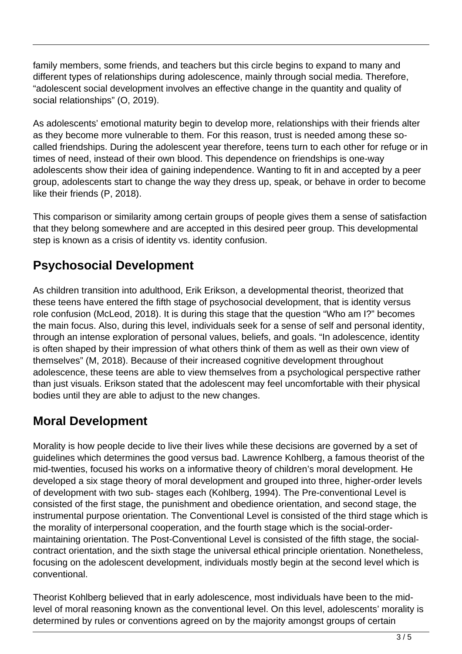family members, some friends, and teachers but this circle begins to expand to many and different types of relationships during adolescence, mainly through social media. Therefore, "adolescent social development involves an effective change in the quantity and quality of social relationships" (O, 2019).

As adolescents' emotional maturity begin to develop more, relationships with their friends alter as they become more vulnerable to them. For this reason, trust is needed among these socalled friendships. During the adolescent year therefore, teens turn to each other for refuge or in times of need, instead of their own blood. This dependence on friendships is one-way adolescents show their idea of gaining independence. Wanting to fit in and accepted by a peer group, adolescents start to change the way they dress up, speak, or behave in order to become like their friends (P, 2018).

This comparison or similarity among certain groups of people gives them a sense of satisfaction that they belong somewhere and are accepted in this desired peer group. This developmental step is known as a crisis of identity vs. identity confusion.

# **Psychosocial Development**

As children transition into adulthood, Erik Erikson, a developmental theorist, theorized that these teens have entered the fifth stage of psychosocial development, that is identity versus role confusion (McLeod, 2018). It is during this stage that the question "Who am I?" becomes the main focus. Also, during this level, individuals seek for a sense of self and personal identity, through an intense exploration of personal values, beliefs, and goals. "In adolescence, identity is often shaped by their impression of what others think of them as well as their own view of themselves" (M, 2018). Because of their increased cognitive development throughout adolescence, these teens are able to view themselves from a psychological perspective rather than just visuals. Erikson stated that the adolescent may feel uncomfortable with their physical bodies until they are able to adjust to the new changes.

### **Moral Development**

Morality is how people decide to live their lives while these decisions are governed by a set of guidelines which determines the good versus bad. Lawrence Kohlberg, a famous theorist of the mid-twenties, focused his works on a informative theory of children's moral development. He developed a six stage theory of moral development and grouped into three, higher-order levels of development with two sub- stages each (Kohlberg, 1994). The Pre-conventional Level is consisted of the first stage, the punishment and obedience orientation, and second stage, the instrumental purpose orientation. The Conventional Level is consisted of the third stage which is the morality of interpersonal cooperation, and the fourth stage which is the social-ordermaintaining orientation. The Post-Conventional Level is consisted of the fifth stage, the socialcontract orientation, and the sixth stage the universal ethical principle orientation. Nonetheless, focusing on the adolescent development, individuals mostly begin at the second level which is conventional.

Theorist Kohlberg believed that in early adolescence, most individuals have been to the midlevel of moral reasoning known as the conventional level. On this level, adolescents' morality is determined by rules or conventions agreed on by the majority amongst groups of certain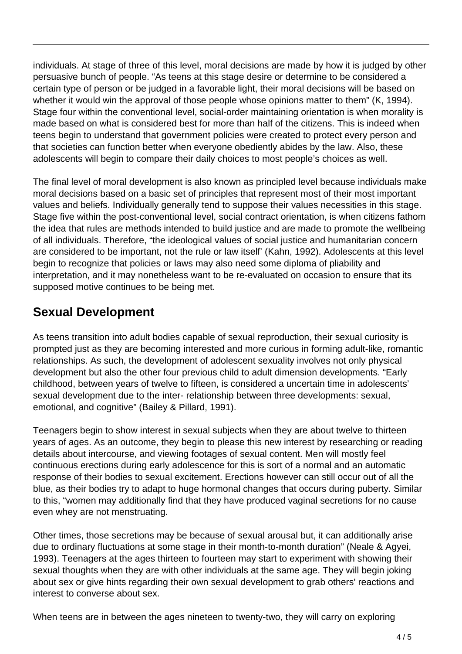individuals. At stage of three of this level, moral decisions are made by how it is judged by other persuasive bunch of people. "As teens at this stage desire or determine to be considered a certain type of person or be judged in a favorable light, their moral decisions will be based on whether it would win the approval of those people whose opinions matter to them" (K, 1994). Stage four within the conventional level, social-order maintaining orientation is when morality is made based on what is considered best for more than half of the citizens. This is indeed when teens begin to understand that government policies were created to protect every person and that societies can function better when everyone obediently abides by the law. Also, these adolescents will begin to compare their daily choices to most people's choices as well.

The final level of moral development is also known as principled level because individuals make moral decisions based on a basic set of principles that represent most of their most important values and beliefs. Individually generally tend to suppose their values necessities in this stage. Stage five within the post-conventional level, social contract orientation, is when citizens fathom the idea that rules are methods intended to build justice and are made to promote the wellbeing of all individuals. Therefore, "the ideological values of social justice and humanitarian concern are considered to be important, not the rule or law itself' (Kahn, 1992). Adolescents at this level begin to recognize that policies or laws may also need some diploma of pliability and interpretation, and it may nonetheless want to be re-evaluated on occasion to ensure that its supposed motive continues to be being met.

### **Sexual Development**

As teens transition into adult bodies capable of sexual reproduction, their sexual curiosity is prompted just as they are becoming interested and more curious in forming adult-like, romantic relationships. As such, the development of adolescent sexuality involves not only physical development but also the other four previous child to adult dimension developments. "Early childhood, between years of twelve to fifteen, is considered a uncertain time in adolescents' sexual development due to the inter- relationship between three developments: sexual, emotional, and cognitive" (Bailey & Pillard, 1991).

Teenagers begin to show interest in sexual subjects when they are about twelve to thirteen years of ages. As an outcome, they begin to please this new interest by researching or reading details about intercourse, and viewing footages of sexual content. Men will mostly feel continuous erections during early adolescence for this is sort of a normal and an automatic response of their bodies to sexual excitement. Erections however can still occur out of all the blue, as their bodies try to adapt to huge hormonal changes that occurs during puberty. Similar to this, "women may additionally find that they have produced vaginal secretions for no cause even whey are not menstruating.

Other times, those secretions may be because of sexual arousal but, it can additionally arise due to ordinary fluctuations at some stage in their month-to-month duration" (Neale & Agyei, 1993). Teenagers at the ages thirteen to fourteen may start to experiment with showing their sexual thoughts when they are with other individuals at the same age. They will begin joking about sex or give hints regarding their own sexual development to grab others' reactions and interest to converse about sex.

When teens are in between the ages nineteen to twenty-two, they will carry on exploring